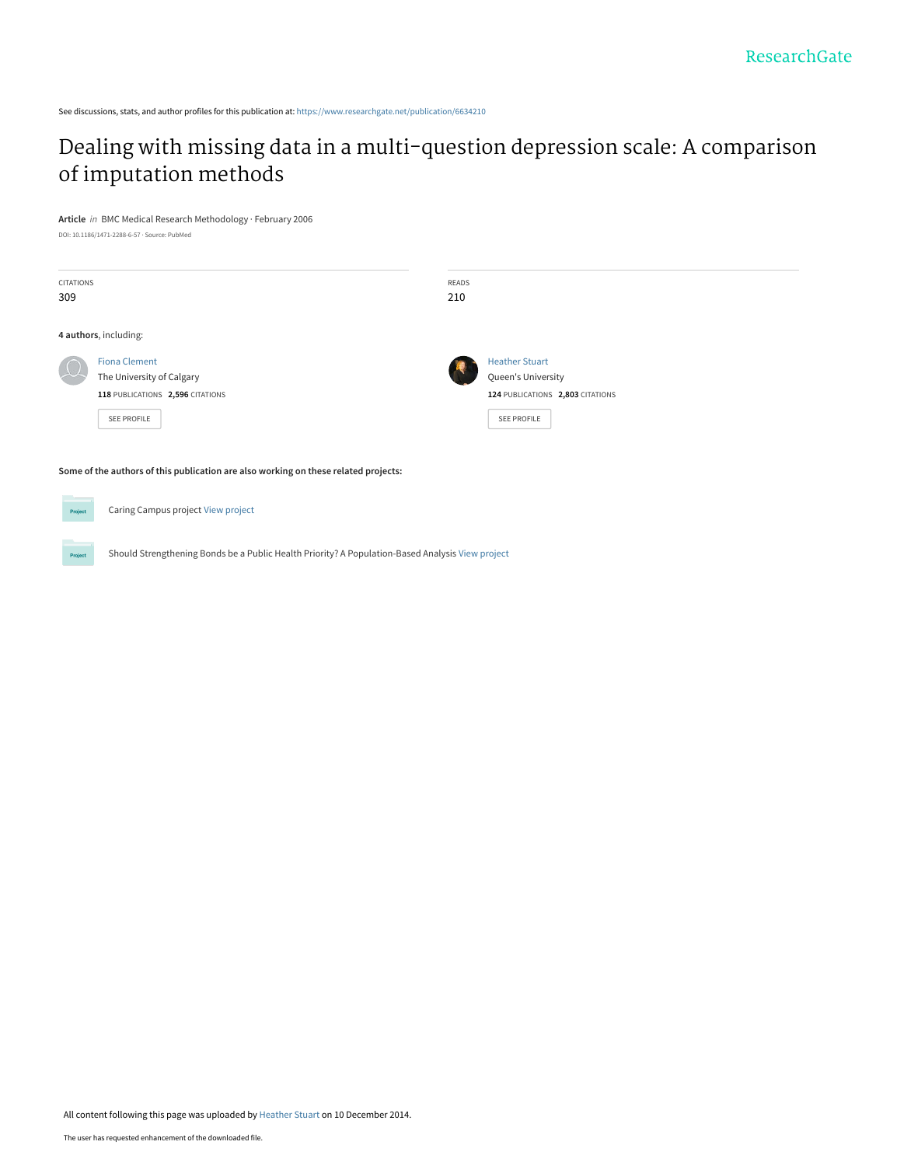See discussions, stats, and author profiles for this publication at: [https://www.researchgate.net/publication/6634210](https://www.researchgate.net/publication/6634210_Dealing_with_missing_data_in_a_multi-question_depression_scale_A_comparison_of_imputation_methods?enrichId=rgreq-9b1585c396cf332e7145532ea1ede398-XXX&enrichSource=Y292ZXJQYWdlOzY2MzQyMTA7QVM6MTcyOTExODIyMzg1MTU1QDE0MTgyMzY4MDAwMTA%3D&el=1_x_2&_esc=publicationCoverPdf)

# [Dealing with missing data in a multi-question depression scale: A comparison](https://www.researchgate.net/publication/6634210_Dealing_with_missing_data_in_a_multi-question_depression_scale_A_comparison_of_imputation_methods?enrichId=rgreq-9b1585c396cf332e7145532ea1ede398-XXX&enrichSource=Y292ZXJQYWdlOzY2MzQyMTA7QVM6MTcyOTExODIyMzg1MTU1QDE0MTgyMzY4MDAwMTA%3D&el=1_x_3&_esc=publicationCoverPdf) of imputation methods

**Article** in BMC Medical Research Methodology · February 2006

DOI: 10.1186/1471-2288-6-57 · Source: PubMed

Project

| <b>CITATIONS</b><br>309 |                                                                                                      | READS<br>210 |                                                                                                |
|-------------------------|------------------------------------------------------------------------------------------------------|--------------|------------------------------------------------------------------------------------------------|
|                         | 4 authors, including:                                                                                |              |                                                                                                |
|                         | <b>Fiona Clement</b><br>The University of Calgary<br>118 PUBLICATIONS 2,596 CITATIONS<br>SEE PROFILE |              | <b>Heather Stuart</b><br>Queen's University<br>124 PUBLICATIONS 2,803 CITATIONS<br>SEE PROFILE |
|                         | Some of the authors of this publication are also working on these related projects:                  |              |                                                                                                |
| Project                 | Caring Campus project View project                                                                   |              |                                                                                                |

Should Strengthening Bonds be a Public Health Priority? A Population-Based Analysis [View project](https://www.researchgate.net/project/Should-Strengthening-Bonds-be-a-Public-Health-Priority-A-Population-Based-Analysis?enrichId=rgreq-9b1585c396cf332e7145532ea1ede398-XXX&enrichSource=Y292ZXJQYWdlOzY2MzQyMTA7QVM6MTcyOTExODIyMzg1MTU1QDE0MTgyMzY4MDAwMTA%3D&el=1_x_9&_esc=publicationCoverPdf)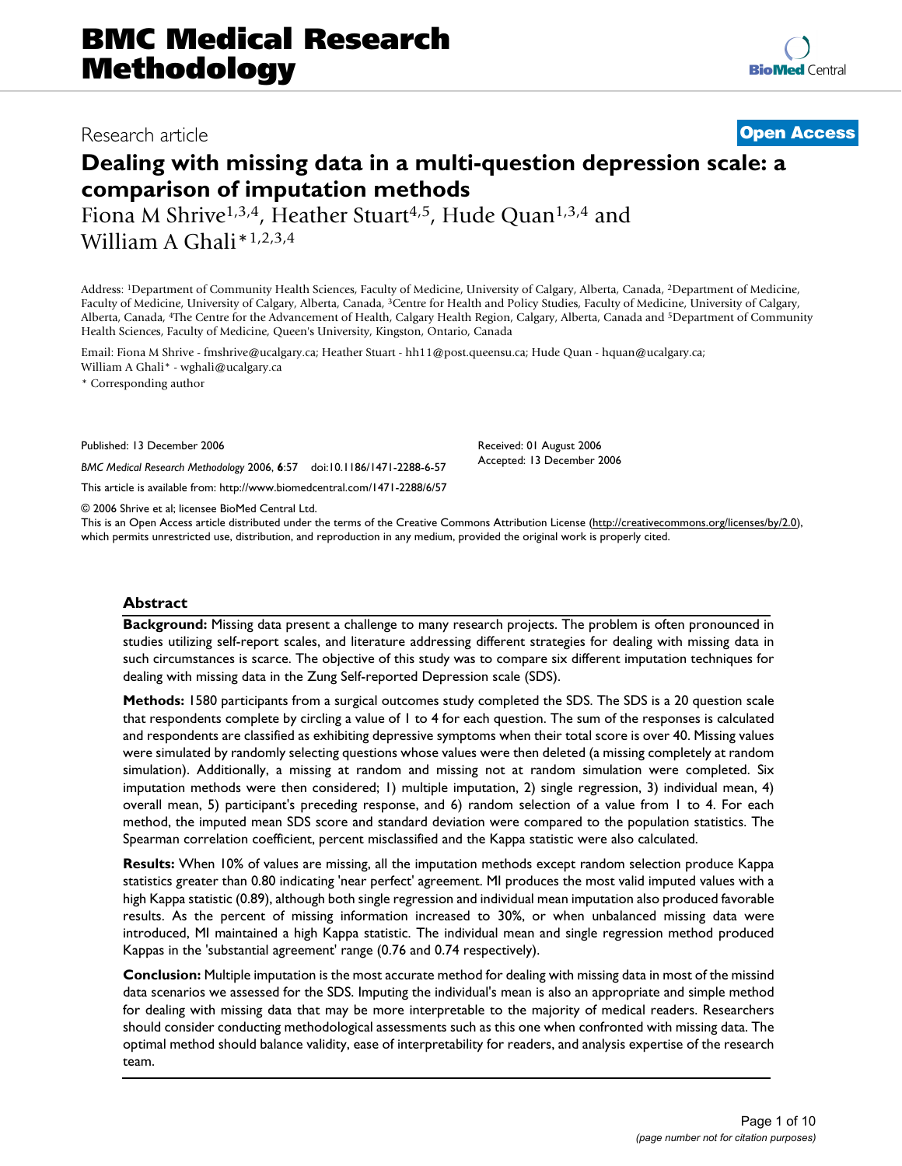# Research article **[Open Access](http://www.biomedcentral.com/info/about/charter/)**

# **Dealing with missing data in a multi-question depression scale: a comparison of imputation methods**

Fiona M Shrive<sup>1,3,4</sup>, Heather Stuart<sup>4,5</sup>, Hude Quan<sup>1,3,4</sup> and William A Ghali\*1,2,3,4

Address: 1Department of Community Health Sciences, Faculty of Medicine, University of Calgary, Alberta, Canada, 2Department of Medicine, Faculty of Medicine, University of Calgary, Alberta, Canada, 3Centre for Health and Policy Studies, Faculty of Medicine, University of Calgary, Alberta, Canada, 4The Centre for the Advancement of Health, Calgary Health Region, Calgary, Alberta, Canada and 5Department of Community Health Sciences, Faculty of Medicine, Queen's University, Kingston, Ontario, Canada

Email: Fiona M Shrive - fmshrive@ucalgary.ca; Heather Stuart - hh11@post.queensu.ca; Hude Quan - hquan@ucalgary.ca; William A Ghali\* - wghali@ucalgary.ca

\* Corresponding author

Published: 13 December 2006

*BMC Medical Research Methodology* 2006, **6**:57 doi:10.1186/1471-2288-6-57

[This article is available from: http://www.biomedcentral.com/1471-2288/6/57](http://www.biomedcentral.com/1471-2288/6/57)

© 2006 Shrive et al; licensee BioMed Central Ltd.

This is an Open Access article distributed under the terms of the Creative Commons Attribution License [\(http://creativecommons.org/licenses/by/2.0\)](http://creativecommons.org/licenses/by/2.0), which permits unrestricted use, distribution, and reproduction in any medium, provided the original work is properly cited.

Received: 01 August 2006 Accepted: 13 December 2006

#### **Abstract**

**Background:** Missing data present a challenge to many research projects. The problem is often pronounced in studies utilizing self-report scales, and literature addressing different strategies for dealing with missing data in such circumstances is scarce. The objective of this study was to compare six different imputation techniques for dealing with missing data in the Zung Self-reported Depression scale (SDS).

**Methods:** 1580 participants from a surgical outcomes study completed the SDS. The SDS is a 20 question scale that respondents complete by circling a value of 1 to 4 for each question. The sum of the responses is calculated and respondents are classified as exhibiting depressive symptoms when their total score is over 40. Missing values were simulated by randomly selecting questions whose values were then deleted (a missing completely at random simulation). Additionally, a missing at random and missing not at random simulation were completed. Six imputation methods were then considered; 1) multiple imputation, 2) single regression, 3) individual mean, 4) overall mean, 5) participant's preceding response, and 6) random selection of a value from 1 to 4. For each method, the imputed mean SDS score and standard deviation were compared to the population statistics. The Spearman correlation coefficient, percent misclassified and the Kappa statistic were also calculated.

**Results:** When 10% of values are missing, all the imputation methods except random selection produce Kappa statistics greater than 0.80 indicating 'near perfect' agreement. MI produces the most valid imputed values with a high Kappa statistic (0.89), although both single regression and individual mean imputation also produced favorable results. As the percent of missing information increased to 30%, or when unbalanced missing data were introduced, MI maintained a high Kappa statistic. The individual mean and single regression method produced Kappas in the 'substantial agreement' range (0.76 and 0.74 respectively).

**Conclusion:** Multiple imputation is the most accurate method for dealing with missing data in most of the missind data scenarios we assessed for the SDS. Imputing the individual's mean is also an appropriate and simple method for dealing with missing data that may be more interpretable to the majority of medical readers. Researchers should consider conducting methodological assessments such as this one when confronted with missing data. The optimal method should balance validity, ease of interpretability for readers, and analysis expertise of the research team.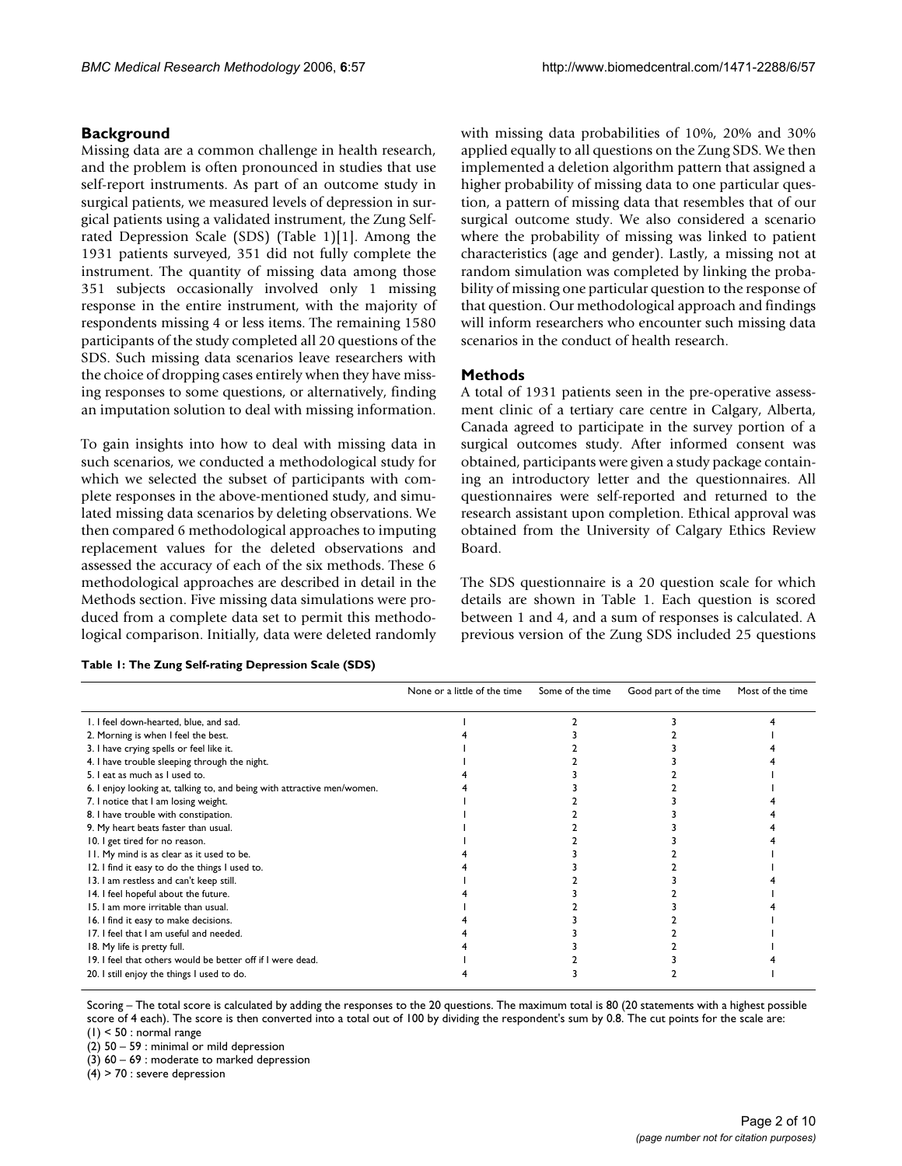## **Background**

Missing data are a common challenge in health research, and the problem is often pronounced in studies that use self-report instruments. As part of an outcome study in surgical patients, we measured levels of depression in surgical patients using a validated instrument, the Zung Selfrated Depression Scale (SDS) (Table 1)[1]. Among the 1931 patients surveyed, 351 did not fully complete the instrument. The quantity of missing data among those 351 subjects occasionally involved only 1 missing response in the entire instrument, with the majority of respondents missing 4 or less items. The remaining 1580 participants of the study completed all 20 questions of the SDS. Such missing data scenarios leave researchers with the choice of dropping cases entirely when they have missing responses to some questions, or alternatively, finding an imputation solution to deal with missing information.

To gain insights into how to deal with missing data in such scenarios, we conducted a methodological study for which we selected the subset of participants with complete responses in the above-mentioned study, and simulated missing data scenarios by deleting observations. We then compared 6 methodological approaches to imputing replacement values for the deleted observations and assessed the accuracy of each of the six methods. These 6 methodological approaches are described in detail in the Methods section. Five missing data simulations were produced from a complete data set to permit this methodological comparison. Initially, data were deleted randomly with missing data probabilities of 10%, 20% and 30% applied equally to all questions on the Zung SDS. We then implemented a deletion algorithm pattern that assigned a higher probability of missing data to one particular question, a pattern of missing data that resembles that of our surgical outcome study. We also considered a scenario where the probability of missing was linked to patient characteristics (age and gender). Lastly, a missing not at random simulation was completed by linking the probability of missing one particular question to the response of that question. Our methodological approach and findings will inform researchers who encounter such missing data scenarios in the conduct of health research.

### **Methods**

A total of 1931 patients seen in the pre-operative assessment clinic of a tertiary care centre in Calgary, Alberta, Canada agreed to participate in the survey portion of a surgical outcomes study. After informed consent was obtained, participants were given a study package containing an introductory letter and the questionnaires. All questionnaires were self-reported and returned to the research assistant upon completion. Ethical approval was obtained from the University of Calgary Ethics Review Board.

The SDS questionnaire is a 20 question scale for which details are shown in Table 1. Each question is scored between 1 and 4, and a sum of responses is calculated. A previous version of the Zung SDS included 25 questions

|                                                                         | None or a little of the time | Some of the time | Good part of the time | Most of the time |
|-------------------------------------------------------------------------|------------------------------|------------------|-----------------------|------------------|
| 1. I feel down-hearted, blue, and sad.                                  |                              |                  |                       |                  |
| 2. Morning is when I feel the best.                                     |                              |                  |                       |                  |
| 3. I have crying spells or feel like it.                                |                              |                  |                       |                  |
| 4. I have trouble sleeping through the night.                           |                              |                  |                       |                  |
| 5. I eat as much as I used to.                                          |                              |                  |                       |                  |
| 6. I enjoy looking at, talking to, and being with attractive men/women. |                              |                  |                       |                  |
| 7. I notice that I am losing weight.                                    |                              |                  |                       |                  |
| 8. I have trouble with constipation.                                    |                              |                  |                       |                  |
| 9. My heart beats faster than usual.                                    |                              |                  |                       |                  |
| 10. I get tired for no reason.                                          |                              |                  |                       |                  |
| 11. My mind is as clear as it used to be.                               |                              |                  |                       |                  |
| 12. I find it easy to do the things I used to.                          |                              |                  |                       |                  |
| 13. I am restless and can't keep still.                                 |                              |                  |                       |                  |
| 14. I feel hopeful about the future.                                    |                              |                  |                       |                  |
| 15. I am more irritable than usual.                                     |                              |                  |                       |                  |
| 16. I find it easy to make decisions.                                   |                              |                  |                       |                  |
| 17. I feel that I am useful and needed.                                 |                              |                  |                       |                  |
| 18. My life is pretty full.                                             |                              |                  |                       |                  |
| 19. I feel that others would be better off if I were dead.              |                              |                  |                       |                  |
| 20. I still enjoy the things I used to do.                              |                              |                  |                       |                  |
|                                                                         |                              |                  |                       |                  |

**Table 1: The Zung Self-rating Depression Scale (SDS)**

Scoring – The total score is calculated by adding the responses to the 20 questions. The maximum total is 80 (20 statements with a highest possible score of 4 each). The score is then converted into a total out of 100 by dividing the respondent's sum by 0.8. The cut points for the scale are: (1) < 50 : normal range

(2) 50 – 59 : minimal or mild depression

(3) 60 – 69 : moderate to marked depression

(4) > 70 : severe depression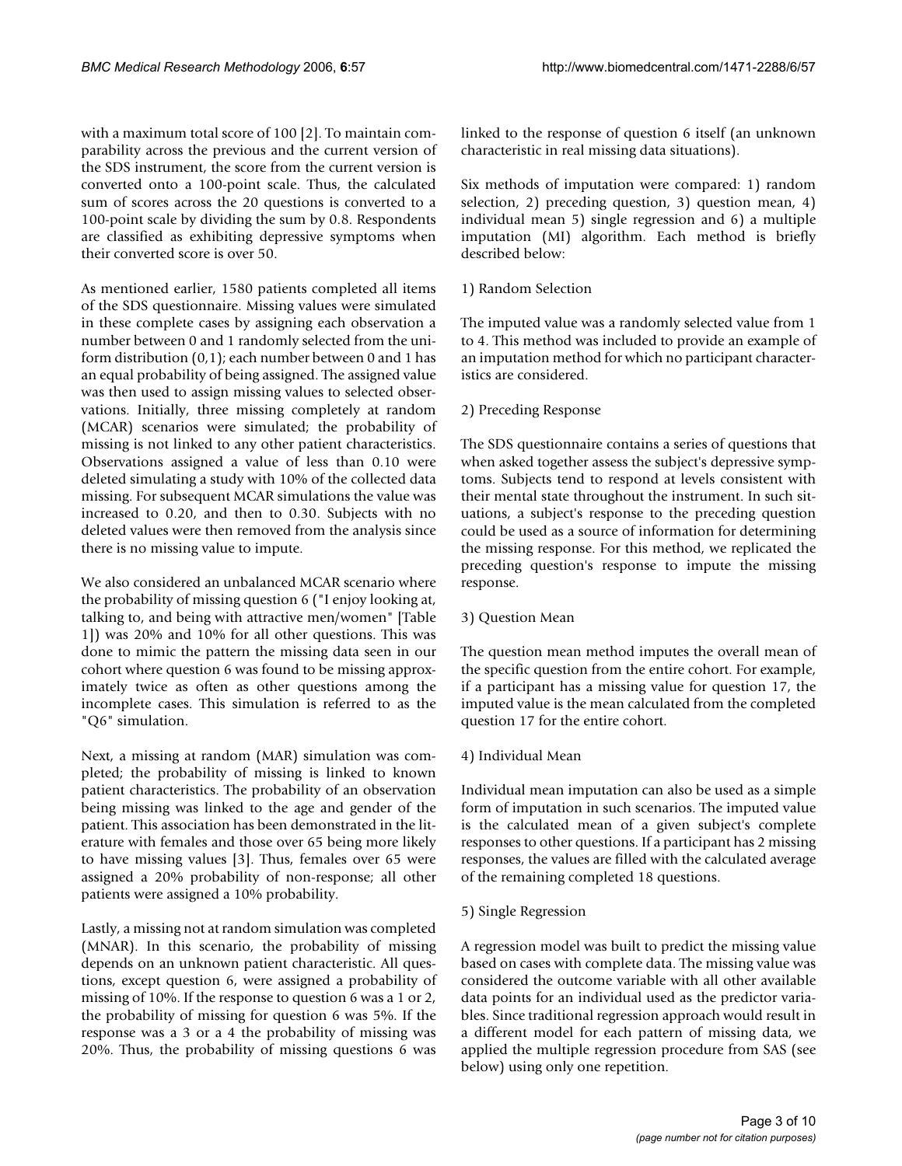with a maximum total score of 100 [2]. To maintain comparability across the previous and the current version of the SDS instrument, the score from the current version is converted onto a 100-point scale. Thus, the calculated sum of scores across the 20 questions is converted to a 100-point scale by dividing the sum by 0.8. Respondents are classified as exhibiting depressive symptoms when their converted score is over 50.

As mentioned earlier, 1580 patients completed all items of the SDS questionnaire. Missing values were simulated in these complete cases by assigning each observation a number between 0 and 1 randomly selected from the uniform distribution (0,1); each number between 0 and 1 has an equal probability of being assigned. The assigned value was then used to assign missing values to selected observations. Initially, three missing completely at random (MCAR) scenarios were simulated; the probability of missing is not linked to any other patient characteristics. Observations assigned a value of less than 0.10 were deleted simulating a study with 10% of the collected data missing. For subsequent MCAR simulations the value was increased to 0.20, and then to 0.30. Subjects with no deleted values were then removed from the analysis since there is no missing value to impute.

We also considered an unbalanced MCAR scenario where the probability of missing question 6 ("I enjoy looking at, talking to, and being with attractive men/women" [Table 1]) was 20% and 10% for all other questions. This was done to mimic the pattern the missing data seen in our cohort where question 6 was found to be missing approximately twice as often as other questions among the incomplete cases. This simulation is referred to as the "Q6" simulation.

Next, a missing at random (MAR) simulation was completed; the probability of missing is linked to known patient characteristics. The probability of an observation being missing was linked to the age and gender of the patient. This association has been demonstrated in the literature with females and those over 65 being more likely to have missing values [3]. Thus, females over 65 were assigned a 20% probability of non-response; all other patients were assigned a 10% probability.

Lastly, a missing not at random simulation was completed (MNAR). In this scenario, the probability of missing depends on an unknown patient characteristic. All questions, except question 6, were assigned a probability of missing of 10%. If the response to question 6 was a 1 or 2, the probability of missing for question 6 was 5%. If the response was a 3 or a 4 the probability of missing was 20%. Thus, the probability of missing questions 6 was linked to the response of question 6 itself (an unknown characteristic in real missing data situations).

Six methods of imputation were compared: 1) random selection, 2) preceding question, 3) question mean, 4) individual mean 5) single regression and 6) a multiple imputation (MI) algorithm. Each method is briefly described below:

# 1) Random Selection

The imputed value was a randomly selected value from 1 to 4. This method was included to provide an example of an imputation method for which no participant characteristics are considered.

# 2) Preceding Response

The SDS questionnaire contains a series of questions that when asked together assess the subject's depressive symptoms. Subjects tend to respond at levels consistent with their mental state throughout the instrument. In such situations, a subject's response to the preceding question could be used as a source of information for determining the missing response. For this method, we replicated the preceding question's response to impute the missing response.

# 3) Question Mean

The question mean method imputes the overall mean of the specific question from the entire cohort. For example, if a participant has a missing value for question 17, the imputed value is the mean calculated from the completed question 17 for the entire cohort.

# 4) Individual Mean

Individual mean imputation can also be used as a simple form of imputation in such scenarios. The imputed value is the calculated mean of a given subject's complete responses to other questions. If a participant has 2 missing responses, the values are filled with the calculated average of the remaining completed 18 questions.

# 5) Single Regression

A regression model was built to predict the missing value based on cases with complete data. The missing value was considered the outcome variable with all other available data points for an individual used as the predictor variables. Since traditional regression approach would result in a different model for each pattern of missing data, we applied the multiple regression procedure from SAS (see below) using only one repetition.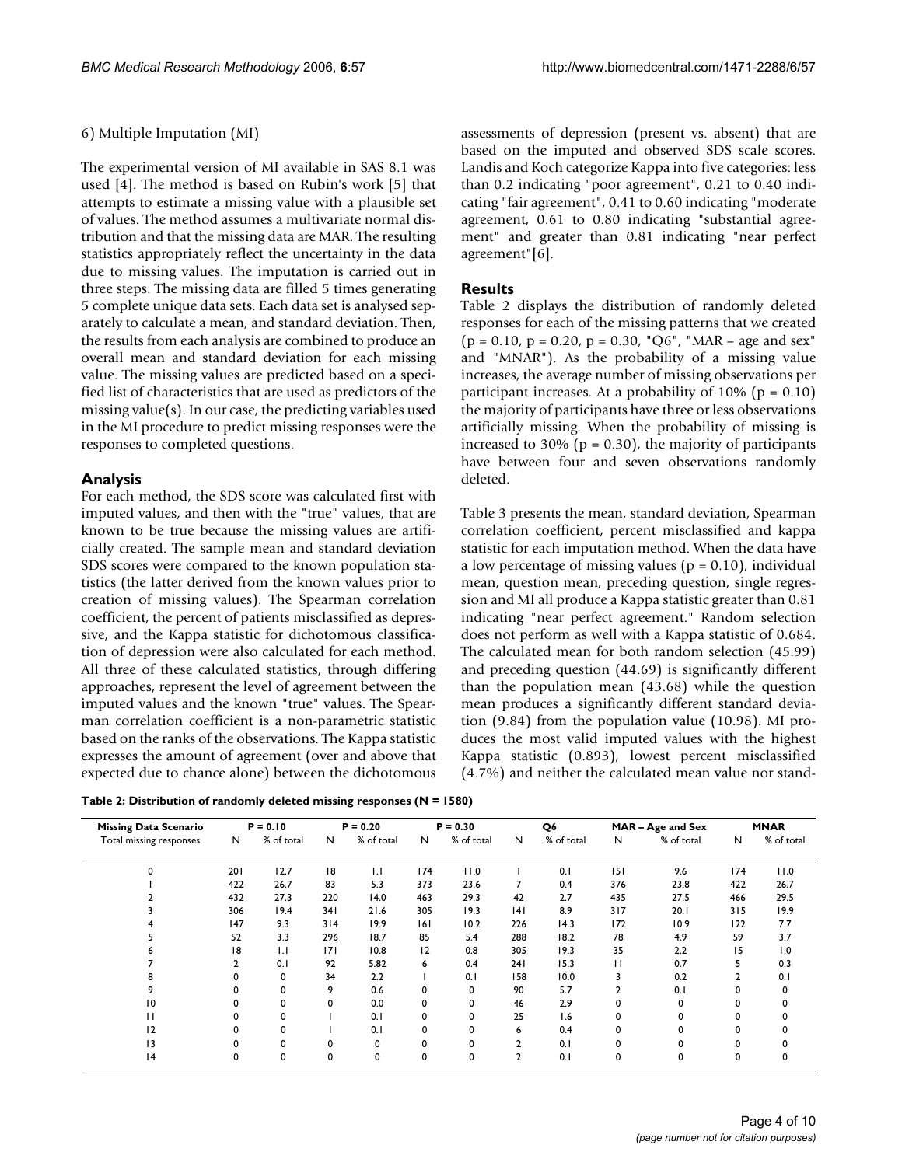#### 6) Multiple Imputation (MI)

The experimental version of MI available in SAS 8.1 was used [4]. The method is based on Rubin's work [5] that attempts to estimate a missing value with a plausible set of values. The method assumes a multivariate normal distribution and that the missing data are MAR. The resulting statistics appropriately reflect the uncertainty in the data due to missing values. The imputation is carried out in three steps. The missing data are filled 5 times generating 5 complete unique data sets. Each data set is analysed separately to calculate a mean, and standard deviation. Then, the results from each analysis are combined to produce an overall mean and standard deviation for each missing value. The missing values are predicted based on a specified list of characteristics that are used as predictors of the missing value(s). In our case, the predicting variables used in the MI procedure to predict missing responses were the responses to completed questions.

#### **Analysis**

For each method, the SDS score was calculated first with imputed values, and then with the "true" values, that are known to be true because the missing values are artificially created. The sample mean and standard deviation SDS scores were compared to the known population statistics (the latter derived from the known values prior to creation of missing values). The Spearman correlation coefficient, the percent of patients misclassified as depressive, and the Kappa statistic for dichotomous classification of depression were also calculated for each method. All three of these calculated statistics, through differing approaches, represent the level of agreement between the imputed values and the known "true" values. The Spearman correlation coefficient is a non-parametric statistic based on the ranks of the observations. The Kappa statistic expresses the amount of agreement (over and above that expected due to chance alone) between the dichotomous

| Table 2: Distribution of randomly deleted missing responses ( $N = 1580$ ) |  |  |  |  |
|----------------------------------------------------------------------------|--|--|--|--|
|----------------------------------------------------------------------------|--|--|--|--|

assessments of depression (present vs. absent) that are based on the imputed and observed SDS scale scores. Landis and Koch categorize Kappa into five categories: less than 0.2 indicating "poor agreement", 0.21 to 0.40 indicating "fair agreement", 0.41 to 0.60 indicating "moderate agreement, 0.61 to 0.80 indicating "substantial agreement" and greater than 0.81 indicating "near perfect agreement"[6].

#### **Results**

Table 2 displays the distribution of randomly deleted responses for each of the missing patterns that we created  $(p = 0.10, p = 0.20, p = 0.30, "Q6", "MAR - age and sex"$ and "MNAR"). As the probability of a missing value increases, the average number of missing observations per participant increases. At a probability of  $10\%$  (p = 0.10) the majority of participants have three or less observations artificially missing. When the probability of missing is increased to 30% ( $p = 0.30$ ), the majority of participants have between four and seven observations randomly deleted.

Table 3 presents the mean, standard deviation, Spearman correlation coefficient, percent misclassified and kappa statistic for each imputation method. When the data have a low percentage of missing values ( $p = 0.10$ ), individual mean, question mean, preceding question, single regression and MI all produce a Kappa statistic greater than 0.81 indicating "near perfect agreement." Random selection does not perform as well with a Kappa statistic of 0.684. The calculated mean for both random selection (45.99) and preceding question (44.69) is significantly different than the population mean (43.68) while the question mean produces a significantly different standard deviation (9.84) from the population value (10.98). MI produces the most valid imputed values with the highest Kappa statistic (0.893), lowest percent misclassified (4.7%) and neither the calculated mean value nor stand-

| <b>Missing Data Scenario</b> | $P = 0.10$ |              | $P = 0.20$ |            | $P = 0.30$ |            | Q6             |            | MAR - Age and Sex |            | <b>MNAR</b> |            |
|------------------------------|------------|--------------|------------|------------|------------|------------|----------------|------------|-------------------|------------|-------------|------------|
| Total missing responses      | N          | % of total   | N          | % of total | N          | % of total | N              | % of total | N                 | % of total | N           | % of total |
| $\Omega$                     | 201        | 12.7         | 8          | 1.1        | 174        | 11.0       |                | 0.1        | 151               | 9.6        | 174         | 11.0       |
|                              | 422        | 26.7         | 83         | 5.3        | 373        | 23.6       | 7              | 0.4        | 376               | 23.8       | 422         | 26.7       |
|                              | 432        | 27.3         | 220        | 14.0       | 463        | 29.3       | 42             | 2.7        | 435               | 27.5       | 466         | 29.5       |
|                              | 306        | 19.4         | 341        | 21.6       | 305        | 19.3       | 4              | 8.9        | 317               | 20.1       | 315         | 19.9       |
|                              | 147        | 9.3          | 314        | 19.9       | 6          | 10.2       | 226            | 14.3       | 172               | 10.9       | 122         | 7.7        |
|                              | 52         | 3.3          | 296        | 18.7       | 85         | 5.4        | 288            | 18.2       | 78                | 4.9        | 59          | 3.7        |
|                              | 18         | $\mathbf{L}$ | 7          | 10.8       | 12         | 0.8        | 305            | 19.3       | 35                | 2.2        | 15          | 1.0        |
|                              | 2          | 0.1          | 92         | 5.82       | 6          | 0.4        | 241            | 15.3       | П                 | 0.7        | ь           | 0.3        |
|                              | 0          | $\mathbf 0$  | 34         | 2.2        |            | 0.1        | 158            | 10.0       | 3                 | 0.2        |             | 0.1        |
|                              |            | $\mathbf 0$  | 9          | 0.6        | 0          |            | 90             | 5.7        | $\overline{2}$    | 0.1        |             | $\Omega$   |
| $\overline{0}$               |            | $\mathbf 0$  | 0          | 0.0        | 0          | $\Omega$   | 46             | 2.9        | 0                 | $\Omega$   |             |            |
| п                            |            | $\mathbf 0$  |            | 0.1        | $\Omega$   |            | 25             | 1.6        | 0                 | $\Omega$   | 0           |            |
| 12                           | 0          | 0            |            | 0.1        | 0          |            | 6              | 0.4        | 0                 | $\Omega$   | $\Omega$    |            |
| 13                           |            | 0            | 0          | 0          | 0          |            | $\overline{2}$ | 0.1        | $\Omega$          |            |             |            |
| 4                            | 0          | $\mathbf 0$  | 0          | 0          | 0          | 0          | $\overline{2}$ | 0.1        | 0                 | 0          | 0           | 0          |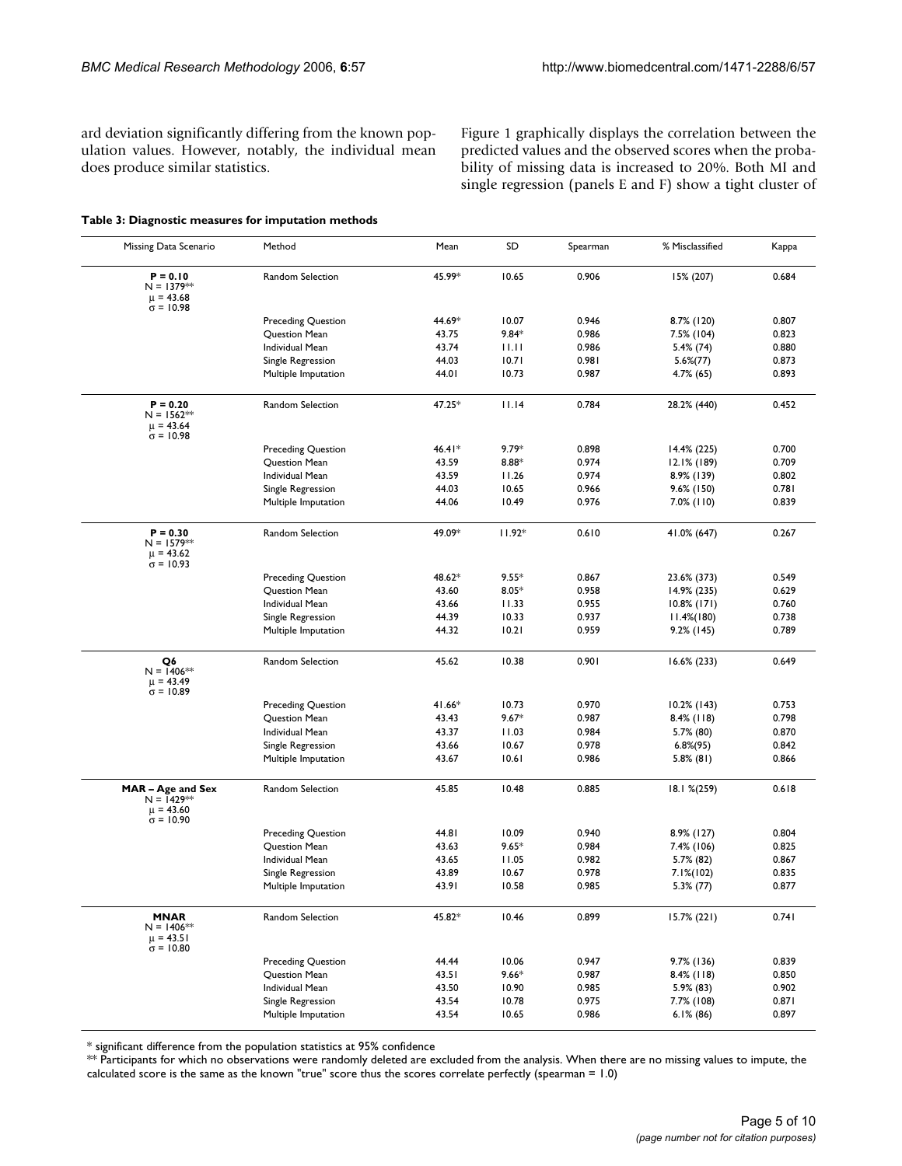ard deviation significantly differing from the known population values. However, notably, the individual mean does produce similar statistics.

Figure 1 graphically displays the correlation between the predicted values and the observed scores when the probability of missing data is increased to 20%. Both MI and single regression (panels E and F) show a tight cluster of

#### **Table 3: Diagnostic measures for imputation methods**

| Missing Data Scenario                                                  | Method                                   | Mean     | SD       | Spearman | % Misclassified                 | Kappa |
|------------------------------------------------------------------------|------------------------------------------|----------|----------|----------|---------------------------------|-------|
| $P = 0.10$<br>$N = 1379**$<br>$\mu = 43.68$<br>$\sigma = 10.98$        | Random Selection                         | 45.99*   | 10.65    | 0.906    | 15% (207)                       | 0.684 |
|                                                                        | <b>Preceding Question</b>                | 44.69*   | 10.07    | 0.946    | 8.7% (120)                      | 0.807 |
|                                                                        | Question Mean                            | 43.75    | $9.84*$  | 0.986    | 7.5% (104)                      | 0.823 |
|                                                                        | Individual Mean                          | 43.74    | 11.11    | 0.986    | 5.4% (74)                       | 0.880 |
|                                                                        | Single Regression                        | 44.03    | 10.71    | 0.981    | $5.6\%(77)$                     | 0.873 |
|                                                                        | Multiple Imputation                      | 44.01    | 10.73    | 0.987    | 4.7% (65)                       | 0.893 |
| $P = 0.20$<br>$N = 1562**$<br>$\mu$ = 43.64<br>$\sigma = 10.98$        | Random Selection                         | 47.25*   | 11.14    | 0.784    | 28.2% (440)                     | 0.452 |
|                                                                        | <b>Preceding Question</b>                | $46.41*$ | $9.79*$  | 0.898    | 14.4% (225)                     | 0.700 |
|                                                                        | Question Mean                            | 43.59    | $8.88*$  | 0.974    | 12.1% (189)                     | 0.709 |
|                                                                        | Individual Mean                          | 43.59    | 11.26    | 0.974    | 8.9% (139)                      | 0.802 |
|                                                                        | Single Regression                        | 44.03    | 10.65    | 0.966    | $9.6\%$ (150)                   | 0.781 |
|                                                                        | Multiple Imputation                      | 44.06    | 10.49    | 0.976    | $7.0\%$ (110)                   | 0.839 |
| $P = 0.30$<br>$N = 1579**$<br>$\mu$ = 43.62<br>$\sigma = 10.93$        | Random Selection                         | 49.09*   | $11.92*$ | 0.610    | 41.0% (647)                     | 0.267 |
|                                                                        | <b>Preceding Question</b>                | 48.62*   | $9.55*$  | 0.867    | 23.6% (373)                     | 0.549 |
|                                                                        | Question Mean                            | 43.60    | $8.05*$  | 0.958    | 14.9% (235)                     | 0.629 |
|                                                                        | <b>Individual Mean</b>                   | 43.66    | 11.33    | 0.955    |                                 | 0.760 |
|                                                                        |                                          | 44.39    | 10.33    | 0.937    | $10.8\%$ (171)                  | 0.738 |
|                                                                        | Single Regression<br>Multiple Imputation | 44.32    | 10.21    | 0.959    | $11.4\%$ (180)<br>$9.2\%$ (145) | 0.789 |
| Q6<br>$N = 1406$ **<br>$\mu = 43.49$<br>$\sigma = 10.89$               | Random Selection                         | 45.62    | 10.38    | 0.901    | 16.6% (233)                     | 0.649 |
|                                                                        | <b>Preceding Question</b>                | $41.66*$ | 10.73    | 0.970    | 10.2% (143)                     | 0.753 |
|                                                                        | Question Mean                            | 43.43    | $9.67*$  | 0.987    | $8.4\%$ (118)                   | 0.798 |
|                                                                        | Individual Mean                          | 43.37    | 11.03    | 0.984    | 5.7% (80)                       | 0.870 |
|                                                                        | Single Regression                        | 43.66    | 10.67    | 0.978    | $6.8\%$ (95)                    | 0.842 |
|                                                                        | Multiple Imputation                      | 43.67    | 10.61    | 0.986    | $5.8\%$ (81)                    | 0.866 |
| MAR - Age and Sex<br>$N = 1429**$<br>$\mu = 43.60$<br>$\sigma = 10.90$ | Random Selection                         | 45.85    | 10.48    | 0.885    | 18.1 % (259)                    | 0.618 |
|                                                                        | <b>Preceding Question</b>                | 44.81    | 10.09    | 0.940    | 8.9% (127)                      | 0.804 |
|                                                                        | <b>Ouestion Mean</b>                     | 43.63    | $9.65*$  | 0.984    | 7.4% (106)                      | 0.825 |
|                                                                        | <b>Individual Mean</b>                   | 43.65    | 11.05    | 0.982    | 5.7% (82)                       | 0.867 |
|                                                                        | Single Regression                        | 43.89    | 10.67    | 0.978    | 7.1%(102)                       | 0.835 |
|                                                                        | Multiple Imputation                      | 43.91    | 10.58    | 0.985    | 5.3% (77)                       | 0.877 |
| <b>MNAR</b><br>$N = 1406$ **<br>$\mu$ = 43.51<br>$\sigma$ = 10.80      | Random Selection                         | 45.82*   | 10.46    | 0.899    | $15.7\% (221)$                  | 0.741 |
|                                                                        | <b>Preceding Question</b>                | 44.44    | 10.06    | 0.947    | 9.7% (136)                      | 0.839 |
|                                                                        | Question Mean                            | 43.51    | $9.66*$  | 0.987    | $8.4\%$ (118)                   | 0.850 |
|                                                                        | Individual Mean                          | 43.50    | 10.90    | 0.985    | 5.9% (83)                       | 0.902 |
|                                                                        | Single Regression                        | 43.54    | 10.78    | 0.975    | 7.7% (108)                      | 0.871 |
|                                                                        | Multiple Imputation                      | 43.54    | 10.65    | 0.986    | $6.1\%$ (86)                    | 0.897 |
|                                                                        |                                          |          |          |          |                                 |       |

\* significant difference from the population statistics at 95% confidence

\*\* Participants for which no observations were randomly deleted are excluded from the analysis. When there are no missing values to impute, the calculated score is the same as the known "true" score thus the scores correlate perfectly (spearman = 1.0)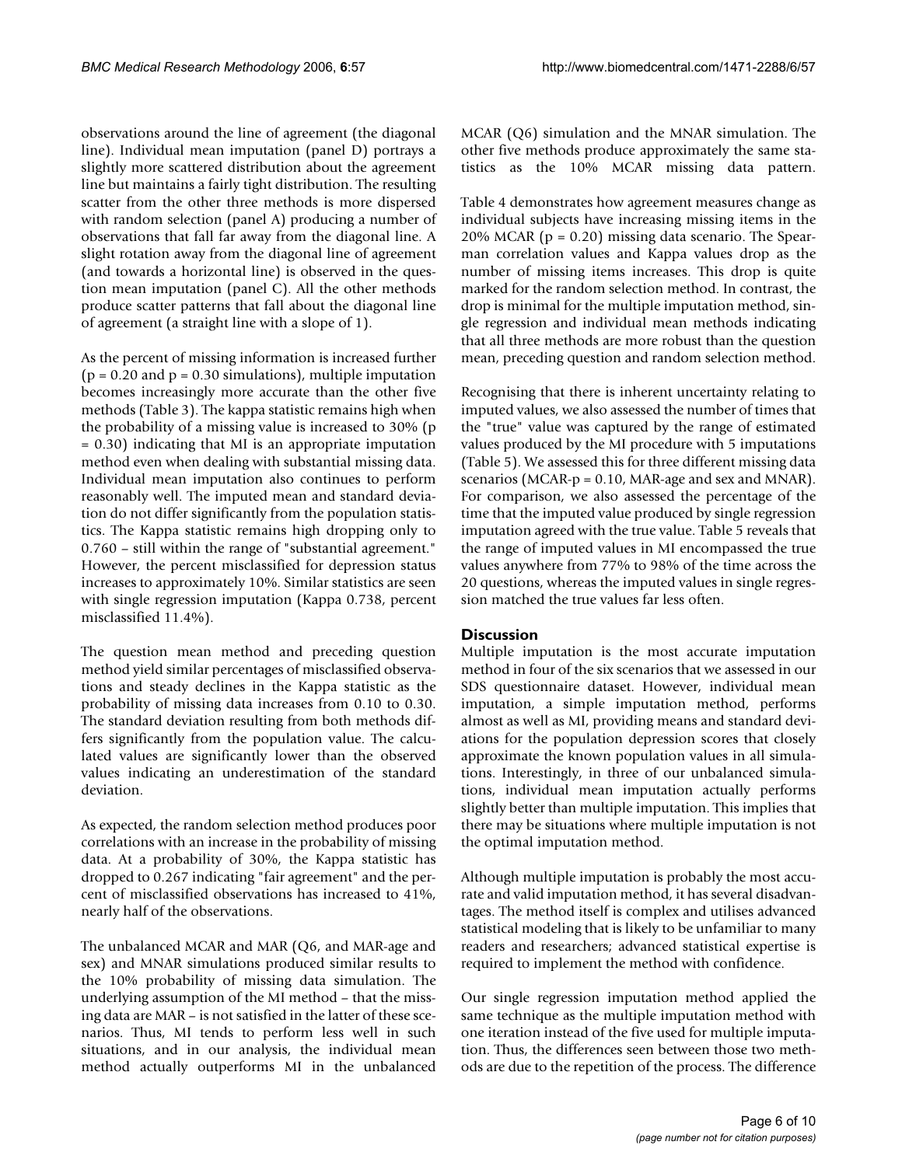observations around the line of agreement (the diagonal line). Individual mean imputation (panel D) portrays a slightly more scattered distribution about the agreement line but maintains a fairly tight distribution. The resulting scatter from the other three methods is more dispersed with random selection (panel A) producing a number of observations that fall far away from the diagonal line. A slight rotation away from the diagonal line of agreement (and towards a horizontal line) is observed in the question mean imputation (panel C). All the other methods produce scatter patterns that fall about the diagonal line of agreement (a straight line with a slope of 1).

As the percent of missing information is increased further  $(p = 0.20$  and  $p = 0.30$  simulations), multiple imputation becomes increasingly more accurate than the other five methods (Table 3). The kappa statistic remains high when the probability of a missing value is increased to 30% (p = 0.30) indicating that MI is an appropriate imputation method even when dealing with substantial missing data. Individual mean imputation also continues to perform reasonably well. The imputed mean and standard deviation do not differ significantly from the population statistics. The Kappa statistic remains high dropping only to 0.760 – still within the range of "substantial agreement." However, the percent misclassified for depression status increases to approximately 10%. Similar statistics are seen with single regression imputation (Kappa 0.738, percent misclassified 11.4%).

The question mean method and preceding question method yield similar percentages of misclassified observations and steady declines in the Kappa statistic as the probability of missing data increases from 0.10 to 0.30. The standard deviation resulting from both methods differs significantly from the population value. The calculated values are significantly lower than the observed values indicating an underestimation of the standard deviation.

As expected, the random selection method produces poor correlations with an increase in the probability of missing data. At a probability of 30%, the Kappa statistic has dropped to 0.267 indicating "fair agreement" and the percent of misclassified observations has increased to 41%, nearly half of the observations.

The unbalanced MCAR and MAR (Q6, and MAR-age and sex) and MNAR simulations produced similar results to the 10% probability of missing data simulation. The underlying assumption of the MI method – that the missing data are MAR – is not satisfied in the latter of these scenarios. Thus, MI tends to perform less well in such situations, and in our analysis, the individual mean method actually outperforms MI in the unbalanced

MCAR (Q6) simulation and the MNAR simulation. The other five methods produce approximately the same statistics as the 10% MCAR missing data pattern.

Table 4 demonstrates how agreement measures change as individual subjects have increasing missing items in the 20% MCAR ( $p = 0.20$ ) missing data scenario. The Spearman correlation values and Kappa values drop as the number of missing items increases. This drop is quite marked for the random selection method. In contrast, the drop is minimal for the multiple imputation method, single regression and individual mean methods indicating that all three methods are more robust than the question mean, preceding question and random selection method.

Recognising that there is inherent uncertainty relating to imputed values, we also assessed the number of times that the "true" value was captured by the range of estimated values produced by the MI procedure with 5 imputations (Table 5). We assessed this for three different missing data scenarios (MCAR- $p = 0.10$ , MAR-age and sex and MNAR). For comparison, we also assessed the percentage of the time that the imputed value produced by single regression imputation agreed with the true value. Table 5 reveals that the range of imputed values in MI encompassed the true values anywhere from 77% to 98% of the time across the 20 questions, whereas the imputed values in single regression matched the true values far less often.

# **Discussion**

Multiple imputation is the most accurate imputation method in four of the six scenarios that we assessed in our SDS questionnaire dataset. However, individual mean imputation, a simple imputation method, performs almost as well as MI, providing means and standard deviations for the population depression scores that closely approximate the known population values in all simulations. Interestingly, in three of our unbalanced simulations, individual mean imputation actually performs slightly better than multiple imputation. This implies that there may be situations where multiple imputation is not the optimal imputation method.

Although multiple imputation is probably the most accurate and valid imputation method, it has several disadvantages. The method itself is complex and utilises advanced statistical modeling that is likely to be unfamiliar to many readers and researchers; advanced statistical expertise is required to implement the method with confidence.

Our single regression imputation method applied the same technique as the multiple imputation method with one iteration instead of the five used for multiple imputation. Thus, the differences seen between those two methods are due to the repetition of the process. The difference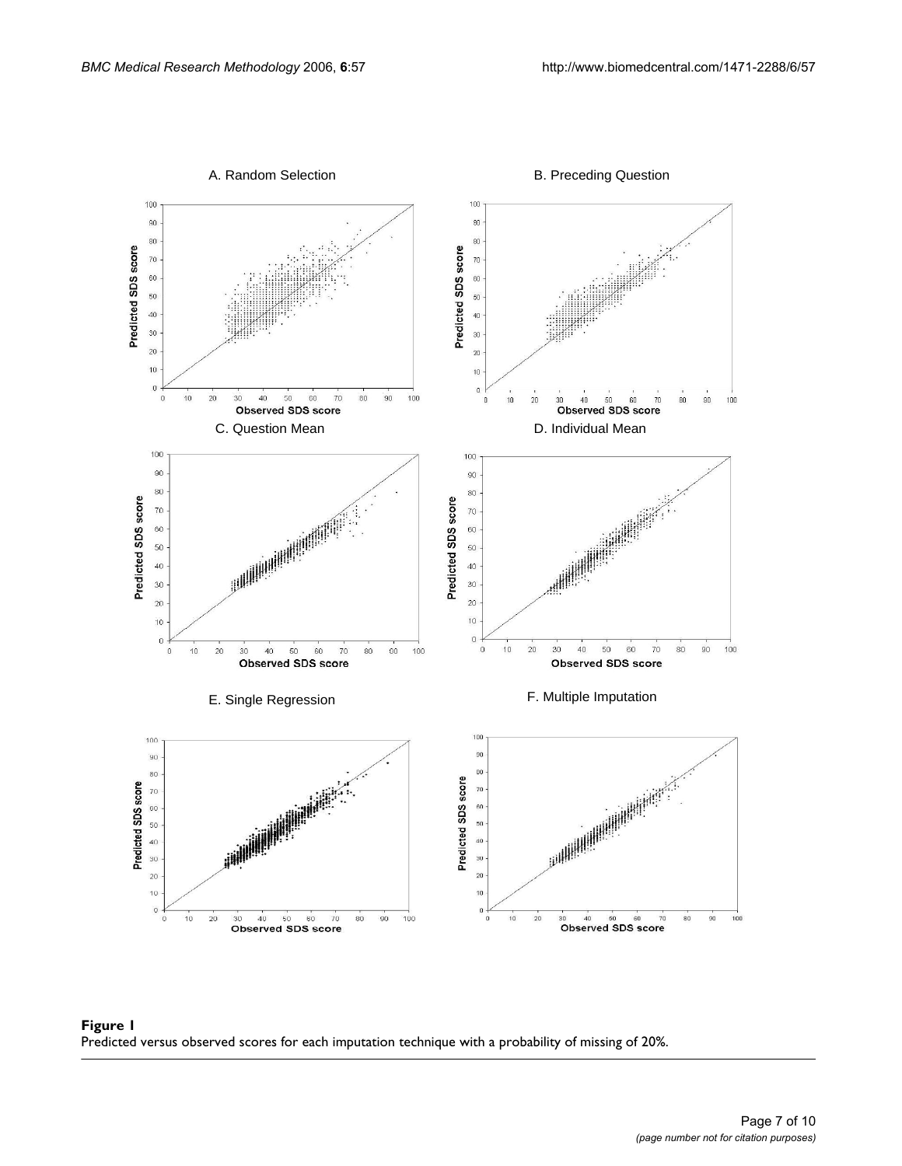

A. Random Selection **B. Preceding Question** 

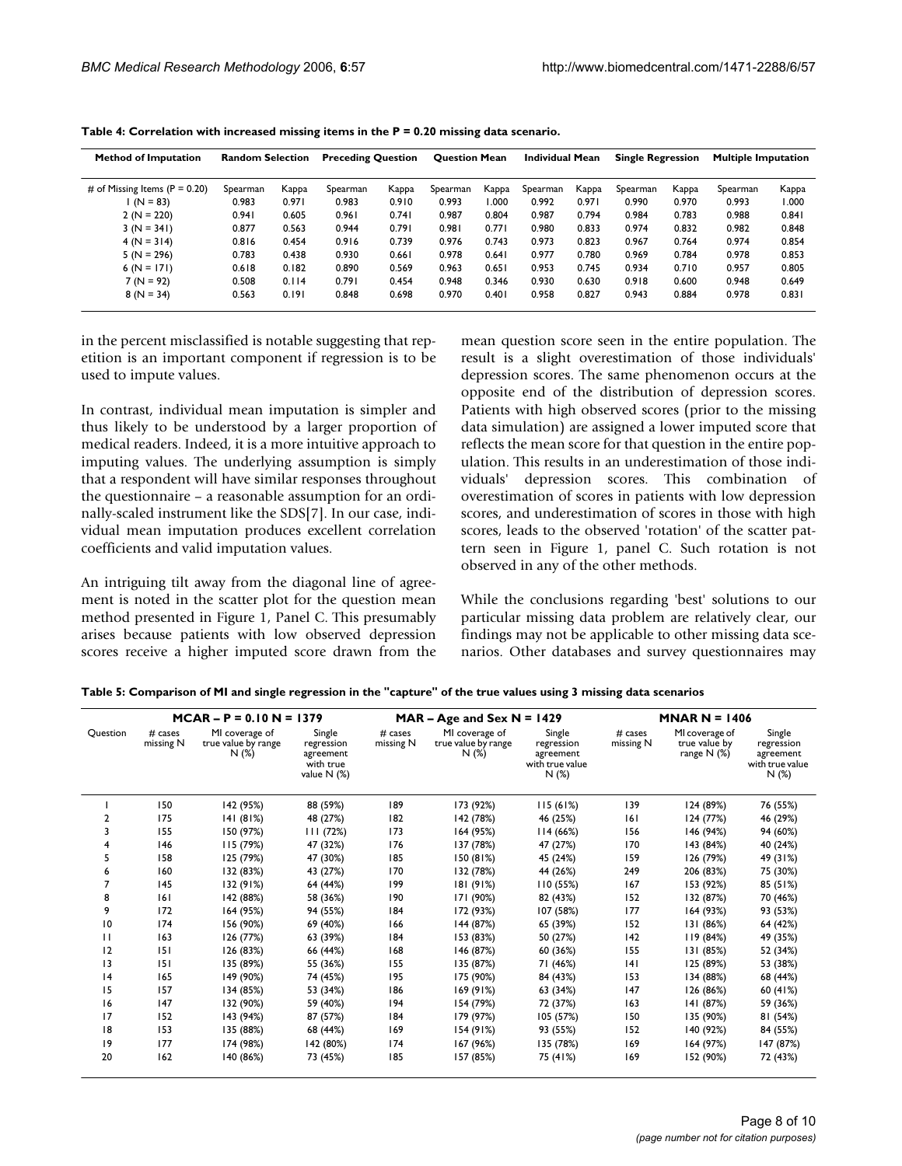| <b>Method of Imputation</b>       | <b>Random Selection</b> |       | <b>Preceding Question</b> |       | <b>Question Mean</b> |       | <b>Individual Mean</b> |       | <b>Single Regression</b> |       | <b>Multiple Imputation</b> |       |
|-----------------------------------|-------------------------|-------|---------------------------|-------|----------------------|-------|------------------------|-------|--------------------------|-------|----------------------------|-------|
| # of Missing Items ( $P = 0.20$ ) | Spearman                | Kappa | Spearman                  | Kappa | Spearman             | Kappa | Spearman               | Kappa | Spearman                 | Kappa | Spearman                   | Kappa |
| $1(N = 83)$                       | 0.983                   | 0.971 | 0.983                     | 0.910 | 0.993                | 000.1 | 0.992                  | 0.971 | 0.990                    | 0.970 | 0.993                      | 1.000 |
| $2 (N = 220)$                     | 0.941                   | 0.605 | 0.961                     | 0.741 | 0.987                | 0.804 | 0.987                  | 0.794 | 0.984                    | 0.783 | 0.988                      | 0.841 |
| $3(N = 341)$                      | 0.877                   | 0.563 | 0.944                     | 0.791 | 0.981                | 0.771 | 0.980                  | 0.833 | 0.974                    | 0.832 | 0.982                      | 0.848 |
| $4(N = 314)$                      | 0.816                   | 0.454 | 0.916                     | 0.739 | 0.976                | 0.743 | 0.973                  | 0.823 | 0.967                    | 0.764 | 0.974                      | 0.854 |
| $5 (N = 296)$                     | 0.783                   | 0.438 | 0.930                     | 0.661 | 0.978                | 0.641 | 0.977                  | 0.780 | 0.969                    | 0.784 | 0.978                      | 0.853 |
| $6 (N = 171)$                     | 0.618                   | 0.182 | 0.890                     | 0.569 | 0.963                | 0.651 | 0.953                  | 0.745 | 0.934                    | 0.710 | 0.957                      | 0.805 |
| $7 (N = 92)$                      | 0.508                   | 0.114 | 0.791                     | 0.454 | 0.948                | 0.346 | 0.930                  | 0.630 | 0.918                    | 0.600 | 0.948                      | 0.649 |
| $8(N = 34)$                       | 0.563                   | 0.191 | 0.848                     | 0.698 | 0.970                | 0.401 | 0.958                  | 0.827 | 0.943                    | 0.884 | 0.978                      | 0.831 |

**Table 4: Correlation with increased missing items in the P = 0.20 missing data scenario.**

in the percent misclassified is notable suggesting that repetition is an important component if regression is to be used to impute values.

In contrast, individual mean imputation is simpler and thus likely to be understood by a larger proportion of medical readers. Indeed, it is a more intuitive approach to imputing values. The underlying assumption is simply that a respondent will have similar responses throughout the questionnaire – a reasonable assumption for an ordinally-scaled instrument like the SDS[7]. In our case, individual mean imputation produces excellent correlation coefficients and valid imputation values.

An intriguing tilt away from the diagonal line of agreement is noted in the scatter plot for the question mean method presented in Figure 1, Panel C. This presumably arises because patients with low observed depression scores receive a higher imputed score drawn from the mean question score seen in the entire population. The result is a slight overestimation of those individuals' depression scores. The same phenomenon occurs at the opposite end of the distribution of depression scores. Patients with high observed scores (prior to the missing data simulation) are assigned a lower imputed score that reflects the mean score for that question in the entire population. This results in an underestimation of those individuals' depression scores. This combination of overestimation of scores in patients with low depression scores, and underestimation of scores in those with high scores, leads to the observed 'rotation' of the scatter pattern seen in Figure 1, panel C. Such rotation is not observed in any of the other methods.

While the conclusions regarding 'best' solutions to our particular missing data problem are relatively clear, our findings may not be applicable to other missing data scenarios. Other databases and survey questionnaires may

| Table 5: Comparison of MI and single regression in the "capture" of the true values using 3 missing data scenarios |  |  |
|--------------------------------------------------------------------------------------------------------------------|--|--|
|                                                                                                                    |  |  |
|                                                                                                                    |  |  |

|          |                      | $MCAR - P = 0.10 N = 1379$                    |                                                               |                      | MAR – Age and Sex $N = 1429$                  |                                                              | MNAR $N = 1406$      |                                                |                                                              |  |
|----------|----------------------|-----------------------------------------------|---------------------------------------------------------------|----------------------|-----------------------------------------------|--------------------------------------------------------------|----------------------|------------------------------------------------|--------------------------------------------------------------|--|
| Question | # cases<br>missing N | MI coverage of<br>true value by range<br>N(%) | Single<br>regression<br>agreement<br>with true<br>value N (%) | # cases<br>missing N | MI coverage of<br>true value by range<br>N(%) | Single<br>regression<br>agreement<br>with true value<br>N(%) | # cases<br>missing N | MI coverage of<br>true value by<br>range N (%) | Single<br>regression<br>agreement<br>with true value<br>N(%) |  |
|          | 150                  | 142 (95%)                                     | 88 (59%)                                                      | 189                  | 173 (92%)                                     | 115(61%)                                                     | 139                  | 124 (89%)                                      | 76 (55%)                                                     |  |
| 2        | 175                  | 141 (81%)                                     | 48 (27%)                                                      | 182                  | 142 (78%)                                     | 46 (25%)                                                     | 6                    | 124 (77%)                                      | 46 (29%)                                                     |  |
| 3        | 155                  | 150 (97%)                                     | 111(72%)                                                      | 173                  | 164 (95%)                                     | 114(66%)                                                     | 156                  | 146 (94%)                                      | 94 (60%)                                                     |  |
|          | 146                  | 115(79%)                                      | 47 (32%)                                                      | 176                  | 137 (78%)                                     | 47 (27%)                                                     | 170                  | 143 (84%)                                      | 40 (24%)                                                     |  |
| 5        | 158                  | 125 (79%)                                     | 47 (30%)                                                      | 185                  | 150 (81%)                                     | 45 (24%)                                                     | 159                  | 126 (79%)                                      | 49 (31%)                                                     |  |
|          | 160                  | 132 (83%)                                     | 43 (27%)                                                      | 170                  | 132 (78%)                                     | 44 (26%)                                                     | 249                  | 206 (83%)                                      | 75 (30%)                                                     |  |
| 7        | 145                  | 132 (91%)                                     | 64 (44%)                                                      | 199                  | 181(91%)                                      | 110(55%)                                                     | 167                  | 153 (92%)                                      | 85 (51%)                                                     |  |
| 8        | 6                    | 142 (88%)                                     | 58 (36%)                                                      | 190                  | 171 (90%)                                     | 82 (43%)                                                     | 152                  | 132 (87%)                                      | 70 (46%)                                                     |  |
| 9        | 172                  | 164 (95%)                                     | 94 (55%)                                                      | 184                  | 172 (93%)                                     | 107 (58%)                                                    | 177                  | 164 (93%)                                      | 93 (53%)                                                     |  |
| 10       | 174                  | 156 (90%)                                     | 69 (40%)                                                      | 166                  | 144 (87%)                                     | 65 (39%)                                                     | 152                  | 131 (86%)                                      | 64 (42%)                                                     |  |
| П        | 163                  | 126 (77%)                                     | 63 (39%)                                                      | 184                  | 153 (83%)                                     | 50 (27%)                                                     | 142                  | 119(84%)                                       | 49 (35%)                                                     |  |
| 12       | 151                  | 126 (83%)                                     | 66 (44%)                                                      | 168                  | 146 (87%)                                     | 60 (36%)                                                     | 155                  | 131 (85%)                                      | 52 (34%)                                                     |  |
| 13       | 151                  | 135 (89%)                                     | 55 (36%)                                                      | 155                  | 135 (87%)                                     | 71 (46%)                                                     | 4                    | 125 (89%)                                      | 53 (38%)                                                     |  |
| 4        | 165                  | 149 (90%)                                     | 74 (45%)                                                      | 195                  | 175 (90%)                                     | 84 (43%)                                                     | 153                  | 134 (88%)                                      | 68 (44%)                                                     |  |
| 15       | 157                  | 134 (85%)                                     | 53 (34%)                                                      | 186                  | 169(91%)                                      | 63 (34%)                                                     | 147                  | 126 (86%)                                      | 60 (41%)                                                     |  |
| 16       | 147                  | 132 (90%)                                     | 59 (40%)                                                      | 194                  | 154 (79%)                                     | 72 (37%)                                                     | 163                  | 141 (87%)                                      | 59 (36%)                                                     |  |
| 17       | 152                  | 143 (94%)                                     | 87 (57%)                                                      | 184                  | 179 (97%)                                     | 105 (57%)                                                    | 150                  | 135 (90%)                                      | 81 (54%)                                                     |  |
| 18       | 153                  | 135 (88%)                                     | 68 (44%)                                                      | 169                  | 154(91%)                                      | 93 (55%)                                                     | 152                  | 140 (92%)                                      | 84 (55%)                                                     |  |
| 9        | 177                  | 174 (98%)                                     | 142 (80%)                                                     | 174                  | 167 (96%)                                     | 135 (78%)                                                    | 169                  | 164 (97%)                                      | 147 (87%)                                                    |  |
| 20       | 162                  | 140 (86%)                                     | 73 (45%)                                                      | 185                  | 157 (85%)                                     | 75 (41%)                                                     | 169                  | 152 (90%)                                      | 72 (43%)                                                     |  |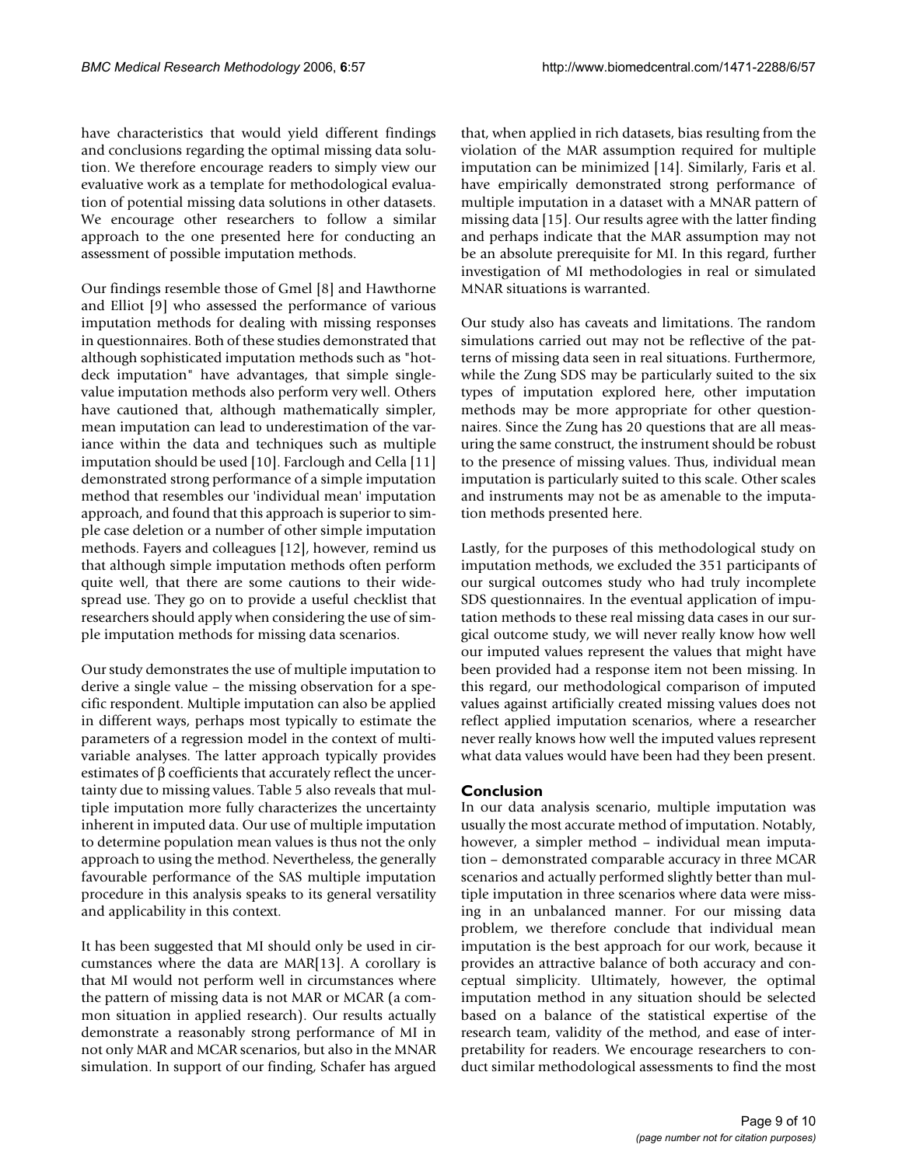have characteristics that would yield different findings and conclusions regarding the optimal missing data solution. We therefore encourage readers to simply view our evaluative work as a template for methodological evaluation of potential missing data solutions in other datasets. We encourage other researchers to follow a similar approach to the one presented here for conducting an assessment of possible imputation methods.

Our findings resemble those of Gmel [8] and Hawthorne and Elliot [9] who assessed the performance of various imputation methods for dealing with missing responses in questionnaires. Both of these studies demonstrated that although sophisticated imputation methods such as "hotdeck imputation" have advantages, that simple singlevalue imputation methods also perform very well. Others have cautioned that, although mathematically simpler, mean imputation can lead to underestimation of the variance within the data and techniques such as multiple imputation should be used [10]. Farclough and Cella [11] demonstrated strong performance of a simple imputation method that resembles our 'individual mean' imputation approach, and found that this approach is superior to simple case deletion or a number of other simple imputation methods. Fayers and colleagues [12], however, remind us that although simple imputation methods often perform quite well, that there are some cautions to their widespread use. They go on to provide a useful checklist that researchers should apply when considering the use of simple imputation methods for missing data scenarios.

Our study demonstrates the use of multiple imputation to derive a single value – the missing observation for a specific respondent. Multiple imputation can also be applied in different ways, perhaps most typically to estimate the parameters of a regression model in the context of multivariable analyses. The latter approach typically provides estimates of β coefficients that accurately reflect the uncertainty due to missing values. Table 5 also reveals that multiple imputation more fully characterizes the uncertainty inherent in imputed data. Our use of multiple imputation to determine population mean values is thus not the only approach to using the method. Nevertheless, the generally favourable performance of the SAS multiple imputation procedure in this analysis speaks to its general versatility and applicability in this context.

It has been suggested that MI should only be used in circumstances where the data are MAR[13]. A corollary is that MI would not perform well in circumstances where the pattern of missing data is not MAR or MCAR (a common situation in applied research). Our results actually demonstrate a reasonably strong performance of MI in not only MAR and MCAR scenarios, but also in the MNAR simulation. In support of our finding, Schafer has argued that, when applied in rich datasets, bias resulting from the violation of the MAR assumption required for multiple imputation can be minimized [14]. Similarly, Faris et al. have empirically demonstrated strong performance of multiple imputation in a dataset with a MNAR pattern of missing data [15]. Our results agree with the latter finding and perhaps indicate that the MAR assumption may not be an absolute prerequisite for MI. In this regard, further investigation of MI methodologies in real or simulated MNAR situations is warranted.

Our study also has caveats and limitations. The random simulations carried out may not be reflective of the patterns of missing data seen in real situations. Furthermore, while the Zung SDS may be particularly suited to the six types of imputation explored here, other imputation methods may be more appropriate for other questionnaires. Since the Zung has 20 questions that are all measuring the same construct, the instrument should be robust to the presence of missing values. Thus, individual mean imputation is particularly suited to this scale. Other scales and instruments may not be as amenable to the imputation methods presented here.

Lastly, for the purposes of this methodological study on imputation methods, we excluded the 351 participants of our surgical outcomes study who had truly incomplete SDS questionnaires. In the eventual application of imputation methods to these real missing data cases in our surgical outcome study, we will never really know how well our imputed values represent the values that might have been provided had a response item not been missing. In this regard, our methodological comparison of imputed values against artificially created missing values does not reflect applied imputation scenarios, where a researcher never really knows how well the imputed values represent what data values would have been had they been present.

# **Conclusion**

In our data analysis scenario, multiple imputation was usually the most accurate method of imputation. Notably, however, a simpler method – individual mean imputation – demonstrated comparable accuracy in three MCAR scenarios and actually performed slightly better than multiple imputation in three scenarios where data were missing in an unbalanced manner. For our missing data problem, we therefore conclude that individual mean imputation is the best approach for our work, because it provides an attractive balance of both accuracy and conceptual simplicity. Ultimately, however, the optimal imputation method in any situation should be selected based on a balance of the statistical expertise of the research team, validity of the method, and ease of interpretability for readers. We encourage researchers to conduct similar methodological assessments to find the most